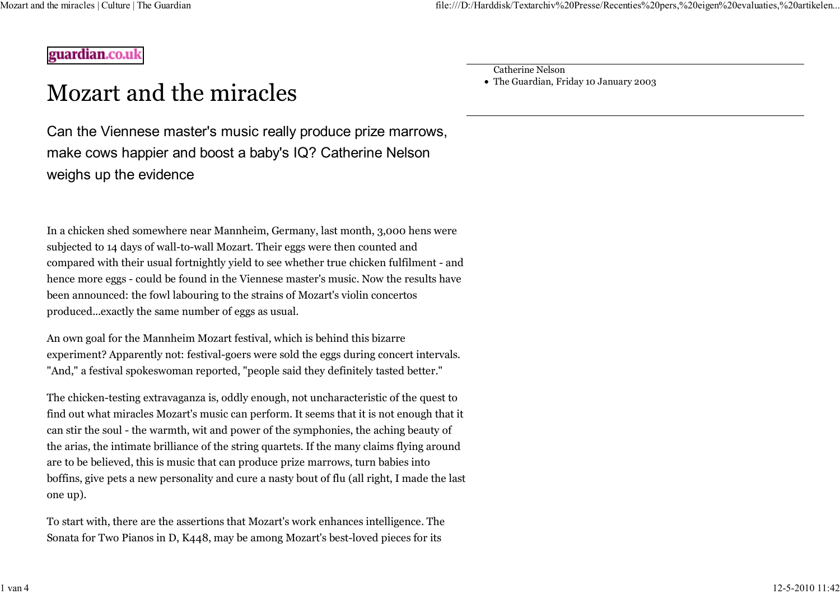## guardian.co.uk

# Mozart and the miracles

Catherine Nelson

The Guardian, Friday 10 January 2003

Can the Viennese master's music really produce prize marrows, make cows happier and boost a baby's IQ? Catherine Nelson weighs up the evidence

In a chicken shed somewhere near Mannheim, Germany, last month, 3,000 hens were subjected to 14 days of wall-to-wall Mozart. Their eggs were then counted and compared with their usual fortnightly yield to see whether true chicken fulfilment - and hence more eggs - could be found in the Viennese master's music. Now the results have been announced: the fowl labouring to the strains of Mozart's violin concertos produced...exactly the same number of eggs as usual.

An own goal for the Mannheim Mozart festival, which is behind this bizarre experiment? Apparently not: festival-goers were sold the eggs during concert intervals. "And," a festival spokeswoman reported, "people said they definitely tasted better."

The chicken-testing extravaganza is, oddly enough, not uncharacteristic of the quest to find out what miracles Mozart's music can perform. It seems that it is not enough that it can stir the soul - the warmth, wit and power of the symphonies, the aching beauty of the arias, the intimate brilliance of the string quartets. If the many claims flying around are to be believed, this is music that can produce prize marrows, turn babies into boffins, give pets a new personality and cure a nasty bout of flu (all right, I made the last one up).

To start with, there are the assertions that Mozart's work enhances intelligence. The Sonata for Two Pianos in D, K448, may be among Mozart's best-loved pieces for its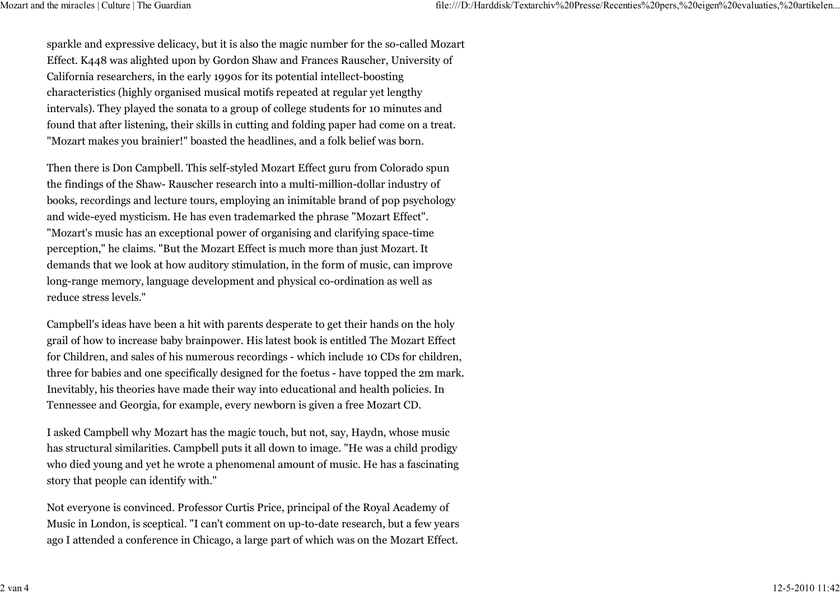sparkle and expressive delicacy, but it is also the magic number for the so-called Mozart Effect. K448 was alighted upon by Gordon Shaw and Frances Rauscher, University of California researchers, in the early 1990s for its potential intellect-boosting characteristics (highly organised musical motifs repeated at regular yet lengthy intervals). They played the sonata to a group of college students for 10 minutes and found that after listening, their skills in cutting and folding paper had come on a treat. "Mozart makes you brainier!" boasted the headlines, and a folk belief was born.

Then there is Don Campbell. This self-styled Mozart Effect guru from Colorado spun the findings of the Shaw- Rauscher research into a multi-million-dollar industry of books, recordings and lecture tours, employing an inimitable brand of pop psychology and wide-eyed mysticism. He has even trademarked the phrase "Mozart Effect". "Mozart's music has an exceptional power of organising and clarifying space-time perception," he claims. "But the Mozart Effect is much more than just Mozart. It demands that we look at how auditory stimulation, in the form of music, can improve long-range memory, language development and physical co-ordination as well as reduce stress levels."

Campbell's ideas have been a hit with parents desperate to get their hands on the holy grail of how to increase baby brainpower. His latest book is entitled The Mozart Effect for Children, and sales of his numerous recordings - which include 10 CDs for children, three for babies and one specifically designed for the foetus - have topped the 2m mark. Inevitably, his theories have made their way into educational and health policies. In Tennessee and Georgia, for example, every newborn is given a free Mozart CD.

I asked Campbell why Mozart has the magic touch, but not, say, Haydn, whose music has structural similarities. Campbell puts it all down to image. "He was a child prodigy who died young and yet he wrote a phenomenal amount of music. He has a fascinating story that people can identify with."

Not everyone is convinced. Professor Curtis Price, principal of the Royal Academy of Music in London, is sceptical. "I can't comment on up-to-date research, but a few years ago I attended a conference in Chicago, a large part of which was on the Mozart Effect.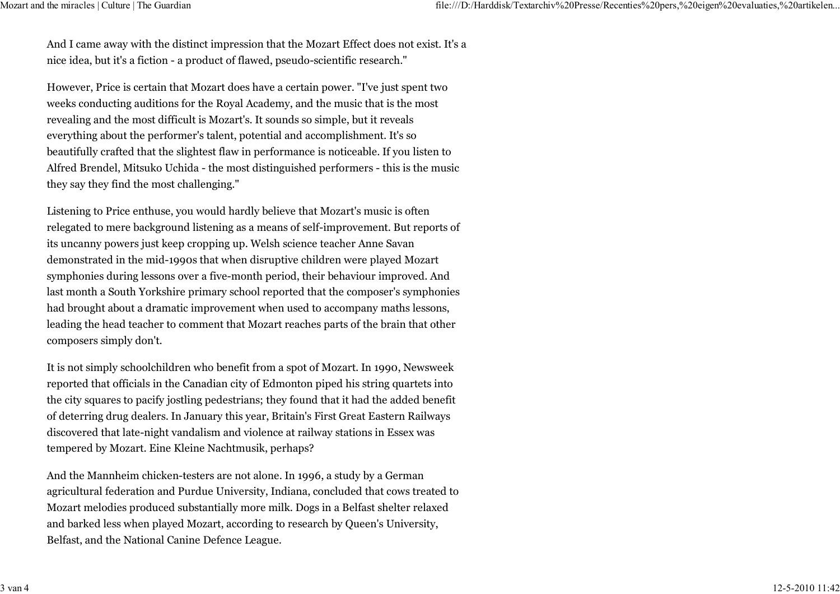And I came away with the distinct impression that the Mozart Effect does not exist. It's a nice idea, but it's a fiction - a product of flawed, pseudo-scientific research."

However, Price is certain that Mozart does have a certain power. "I've just spent two weeks conducting auditions for the Royal Academy, and the music that is the most revealing and the most difficult is Mozart's. It sounds so simple, but it reveals everything about the performer's talent, potential and accomplishment. It's so beautifully crafted that the slightest flaw in performance is noticeable. If you listen to Alfred Brendel, Mitsuko Uchida - the most distinguished performers - this is the music they say they find the most challenging."

Listening to Price enthuse, you would hardly believe that Mozart's music is often relegated to mere background listening as a means of self-improvement. But reports of its uncanny powers just keep cropping up. Welsh science teacher Anne Savan demonstrated in the mid-1990s that when disruptive children were played Mozart symphonies during lessons over a five-month period, their behaviour improved. And last month a South Yorkshire primary school reported that the composer's symphonies had brought about a dramatic improvement when used to accompany maths lessons, leading the head teacher to comment that Mozart reaches parts of the brain that other composers simply don't.

It is not simply schoolchildren who benefit from a spot of Mozart. In 1990, Newsweek reported that officials in the Canadian city of Edmonton piped his string quartets into the city squares to pacify jostling pedestrians; they found that it had the added benefit of deterring drug dealers. In January this year, Britain's First Great Eastern Railways discovered that late-night vandalism and violence at railway stations in Essex was tempered by Mozart. Eine Kleine Nachtmusik, perhaps?

And the Mannheim chicken-testers are not alone. In 1996, a study by a German agricultural federation and Purdue University, Indiana, concluded that cows treated to Mozart melodies produced substantially more milk. Dogs in a Belfast shelter relaxed and barked less when played Mozart, according to research by Queen's University, Belfast, and the National Canine Defence League.